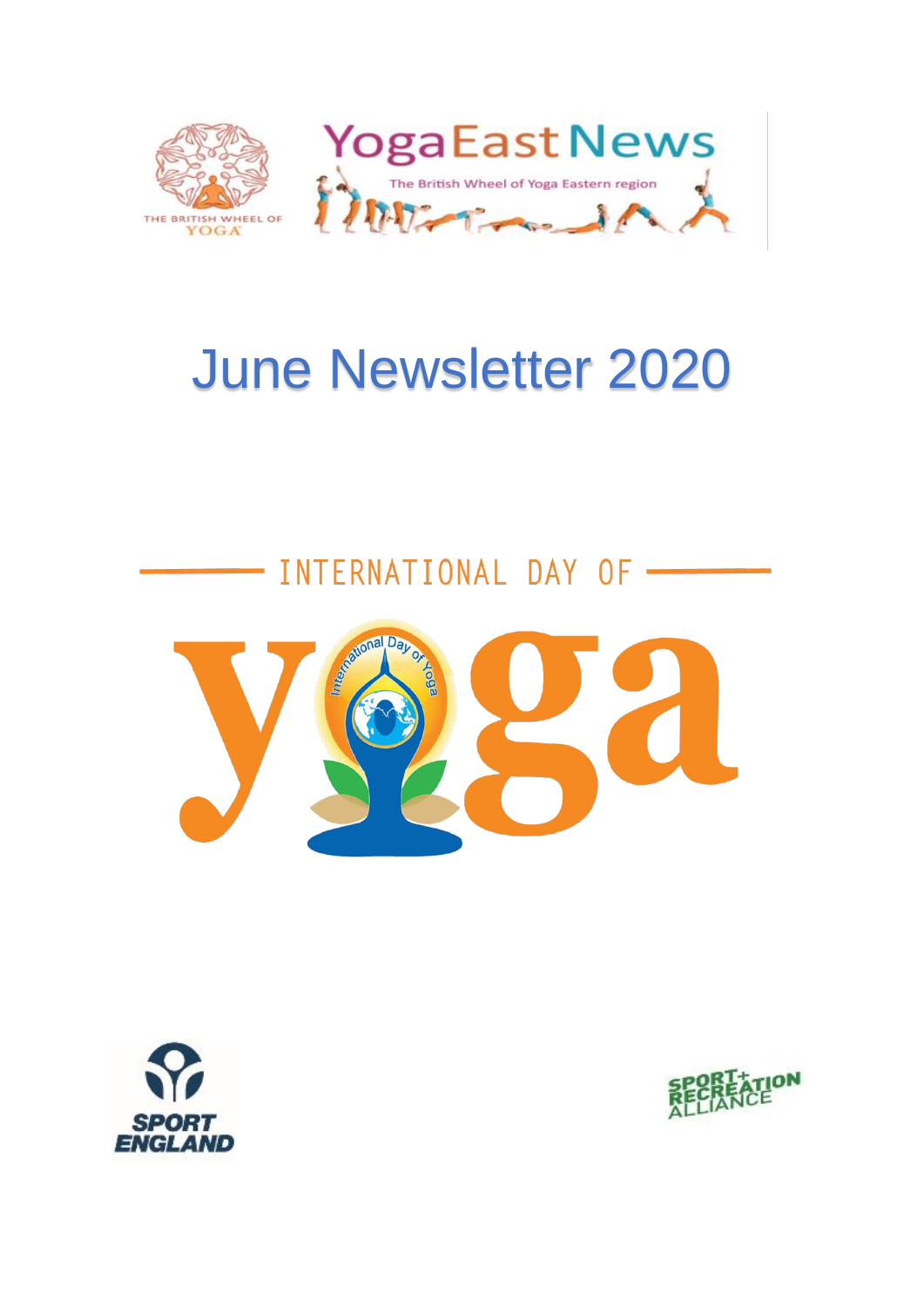

# June Newsletter 2020

# INTERNATIONAL DAY OF -





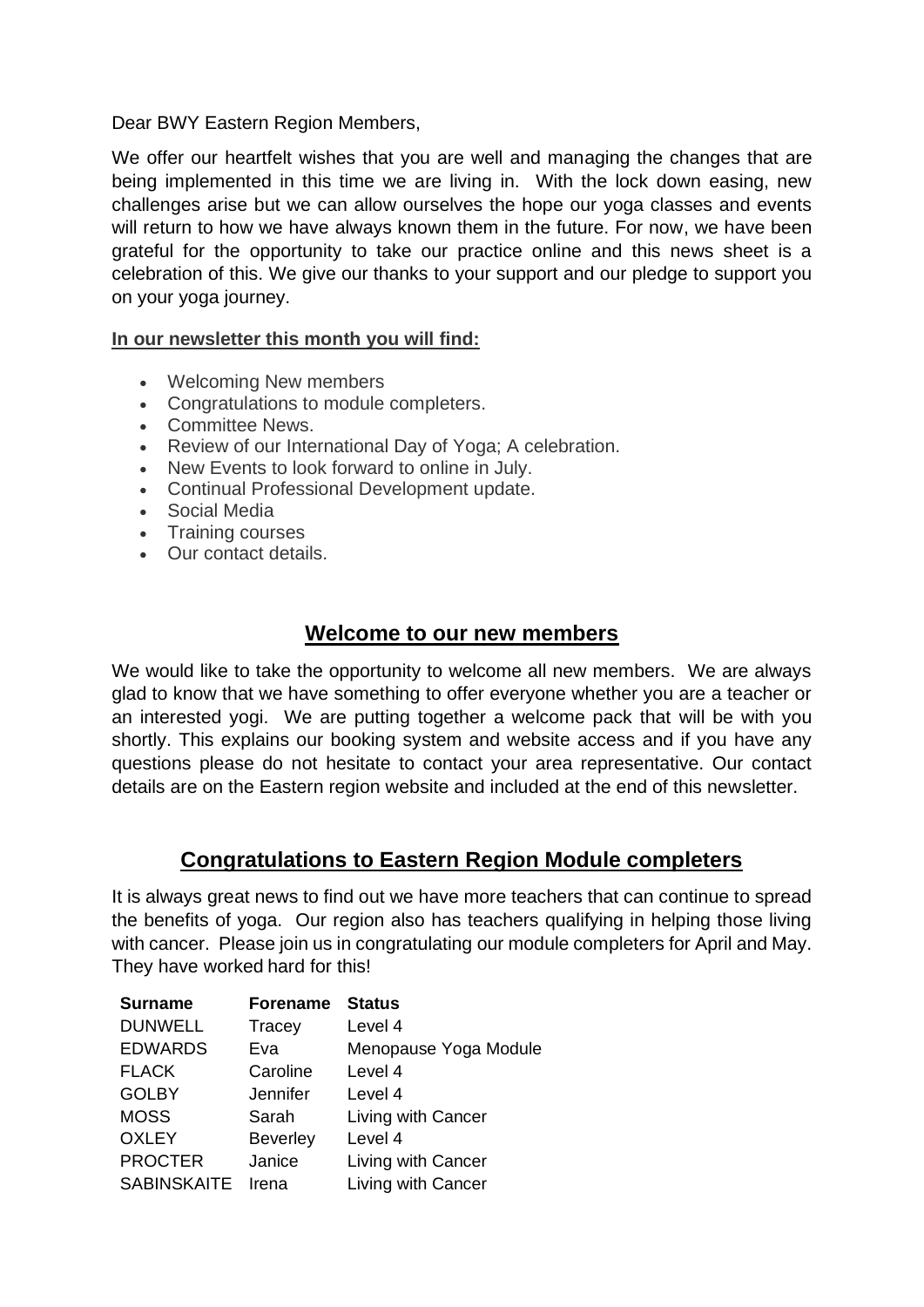Dear BWY Eastern Region Members,

We offer our heartfelt wishes that you are well and managing the changes that are being implemented in this time we are living in. With the lock down easing, new challenges arise but we can allow ourselves the hope our yoga classes and events will return to how we have always known them in the future. For now, we have been grateful for the opportunity to take our practice online and this news sheet is a celebration of this. We give our thanks to your support and our pledge to support you on your yoga journey.

## **In our newsletter this month you will find:**

- Welcoming New members
- Congratulations to module completers.
- Committee News.
- Review of our International Day of Yoga; A celebration.
- New Events to look forward to online in July.
- Continual Professional Development update.
- Social Media
- Training courses
- Our contact details.

# **Welcome to our new members**

We would like to take the opportunity to welcome all new members. We are always glad to know that we have something to offer everyone whether you are a teacher or an interested yogi. We are putting together a welcome pack that will be with you shortly. This explains our booking system and website access and if you have any questions please do not hesitate to contact your area representative. Our contact details are on the Eastern region website and included at the end of this newsletter.

# **Congratulations to Eastern Region Module completers**

It is always great news to find out we have more teachers that can continue to spread the benefits of yoga. Our region also has teachers qualifying in helping those living with cancer. Please join us in congratulating our module completers for April and May. They have worked hard for this!

| <b>Surname</b>     | <b>Forename</b> | <b>Status</b>         |
|--------------------|-----------------|-----------------------|
| <b>DUNWELL</b>     | Tracey          | Level 4               |
| <b>EDWARDS</b>     | Eva             | Menopause Yoga Module |
| <b>FLACK</b>       | Caroline        | Level 4               |
| <b>GOLBY</b>       | <b>Jennifer</b> | Level 4               |
| <b>MOSS</b>        | Sarah           | Living with Cancer    |
| <b>OXLEY</b>       | <b>Beverley</b> | Level 4               |
| <b>PROCTER</b>     | Janice          | Living with Cancer    |
| <b>SABINSKAITE</b> | Irena           | Living with Cancer    |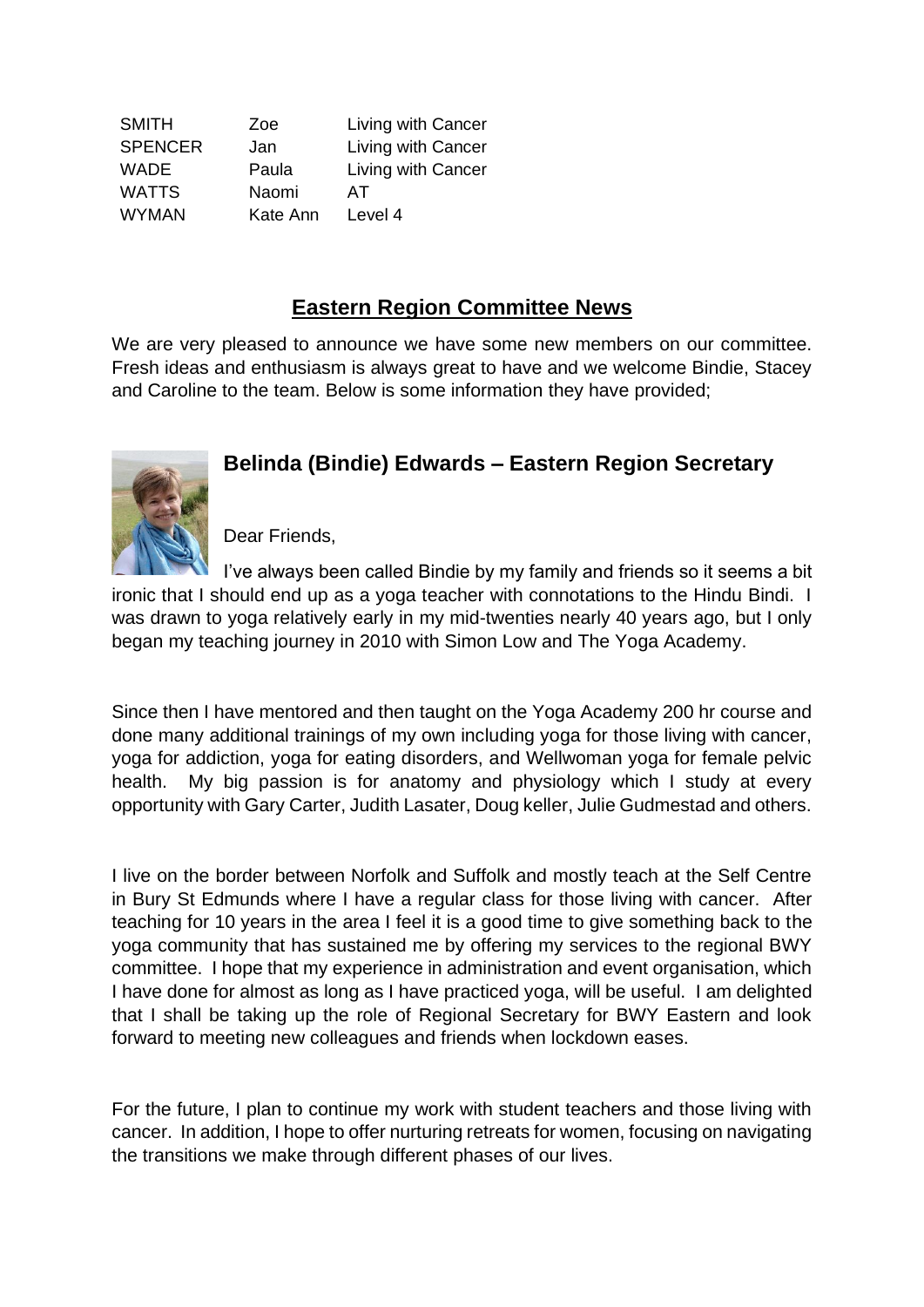| <b>SMITH</b>   | Zoe      | Living with Cancer |
|----------------|----------|--------------------|
| <b>SPENCER</b> | Jan      | Living with Cancer |
| <b>WADE</b>    | Paula    | Living with Cancer |
| <b>WATTS</b>   | Naomi    | AТ                 |
| <b>WYMAN</b>   | Kate Ann | Level 4            |

# **Eastern Region Committee News**

We are very pleased to announce we have some new members on our committee. Fresh ideas and enthusiasm is always great to have and we welcome Bindie, Stacey and Caroline to the team. Below is some information they have provided;



# **Belinda (Bindie) Edwards – Eastern Region Secretary**

Dear Friends,

I've always been called Bindie by my family and friends so it seems a bit ironic that I should end up as a yoga teacher with connotations to the Hindu Bindi. I was drawn to yoga relatively early in my mid-twenties nearly 40 years ago, but I only began my teaching journey in 2010 with Simon Low and The Yoga Academy.

Since then I have mentored and then taught on the Yoga Academy 200 hr course and done many additional trainings of my own including yoga for those living with cancer, yoga for addiction, yoga for eating disorders, and Wellwoman yoga for female pelvic health. My big passion is for anatomy and physiology which I study at every opportunity with Gary Carter, Judith Lasater, Doug keller, Julie Gudmestad and others.

I live on the border between Norfolk and Suffolk and mostly teach at the Self Centre in Bury St Edmunds where I have a regular class for those living with cancer. After teaching for 10 years in the area I feel it is a good time to give something back to the yoga community that has sustained me by offering my services to the regional BWY committee. I hope that my experience in administration and event organisation, which I have done for almost as long as I have practiced yoga, will be useful. I am delighted that I shall be taking up the role of Regional Secretary for BWY Eastern and look forward to meeting new colleagues and friends when lockdown eases.

For the future, I plan to continue my work with student teachers and those living with cancer. In addition, I hope to offer nurturing retreats for women, focusing on navigating the transitions we make through different phases of our lives.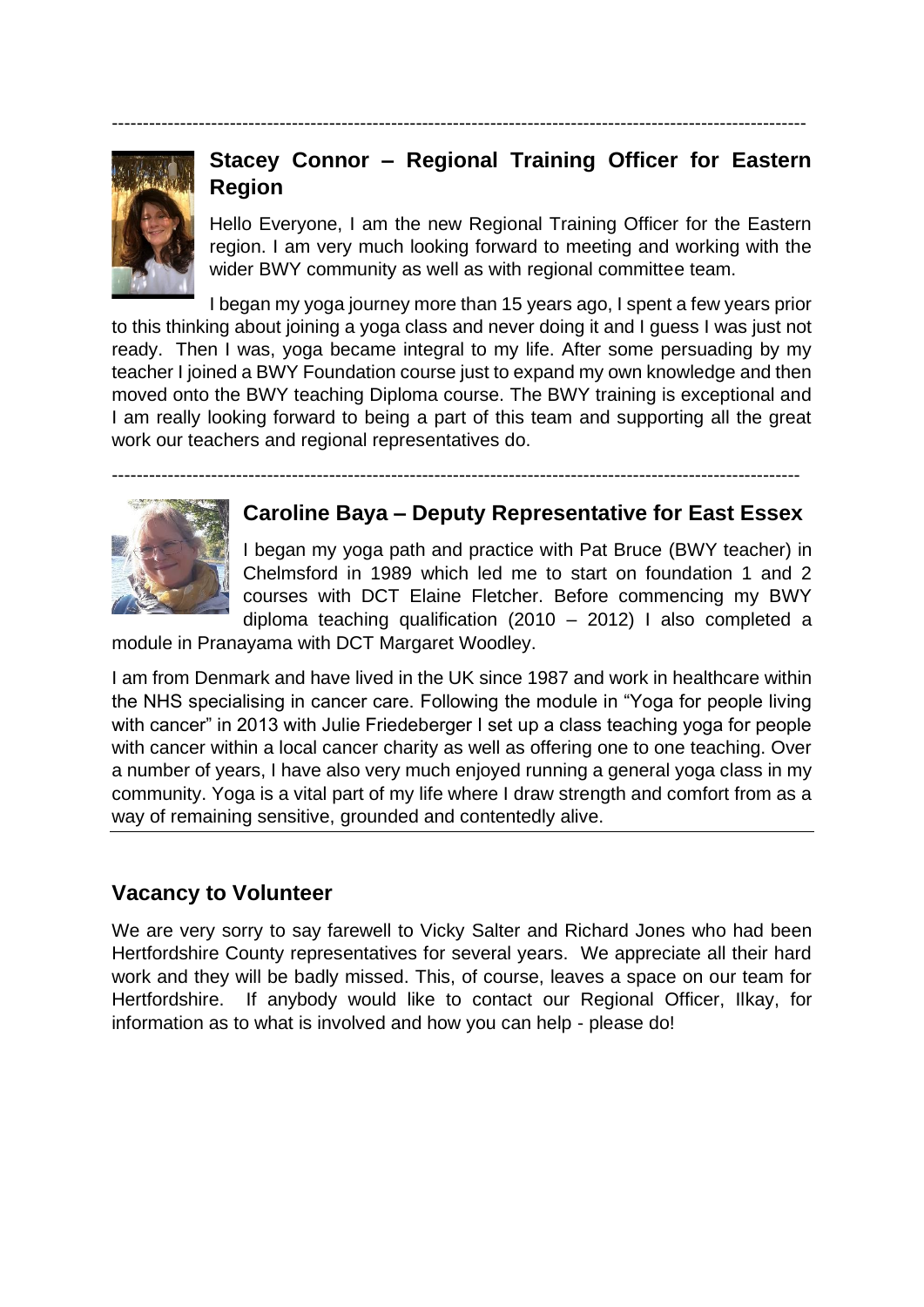----------------------------------------------------------------------------------------------------------------



# **Stacey Connor – Regional Training Officer for Eastern Region**

Hello Everyone, I am the new Regional Training Officer for the Eastern region. I am very much looking forward to meeting and working with the wider BWY community as well as with regional committee team.

I began my yoga journey more than 15 years ago, I spent a few years prior to this thinking about joining a yoga class and never doing it and I guess I was just not ready. Then I was, yoga became integral to my life. After some persuading by my teacher I joined a BWY Foundation course just to expand my own knowledge and then moved onto the BWY teaching Diploma course. The BWY training is exceptional and I am really looking forward to being a part of this team and supporting all the great work our teachers and regional representatives do.

---------------------------------------------------------------------------------------------------------------

# **Caroline Baya – Deputy Representative for East Essex**

I began my yoga path and practice with Pat Bruce (BWY teacher) in Chelmsford in 1989 which led me to start on foundation 1 and 2 courses with DCT Elaine Fletcher. Before commencing my BWY diploma teaching qualification (2010 – 2012) I also completed a

module in Pranayama with DCT Margaret Woodley.

I am from Denmark and have lived in the UK since 1987 and work in healthcare within the NHS specialising in cancer care. Following the module in "Yoga for people living with cancer" in 2013 with Julie Friedeberger I set up a class teaching yoga for people with cancer within a local cancer charity as well as offering one to one teaching. Over a number of years, I have also very much enjoyed running a general yoga class in my community. Yoga is a vital part of my life where I draw strength and comfort from as a way of remaining sensitive, grounded and contentedly alive.

# **Vacancy to Volunteer**

We are very sorry to say farewell to Vicky Salter and Richard Jones who had been Hertfordshire County representatives for several years. We appreciate all their hard work and they will be badly missed. This, of course, leaves a space on our team for Hertfordshire. If anybody would like to contact our Regional Officer, Ilkay, for information as to what is involved and how you can help - please do!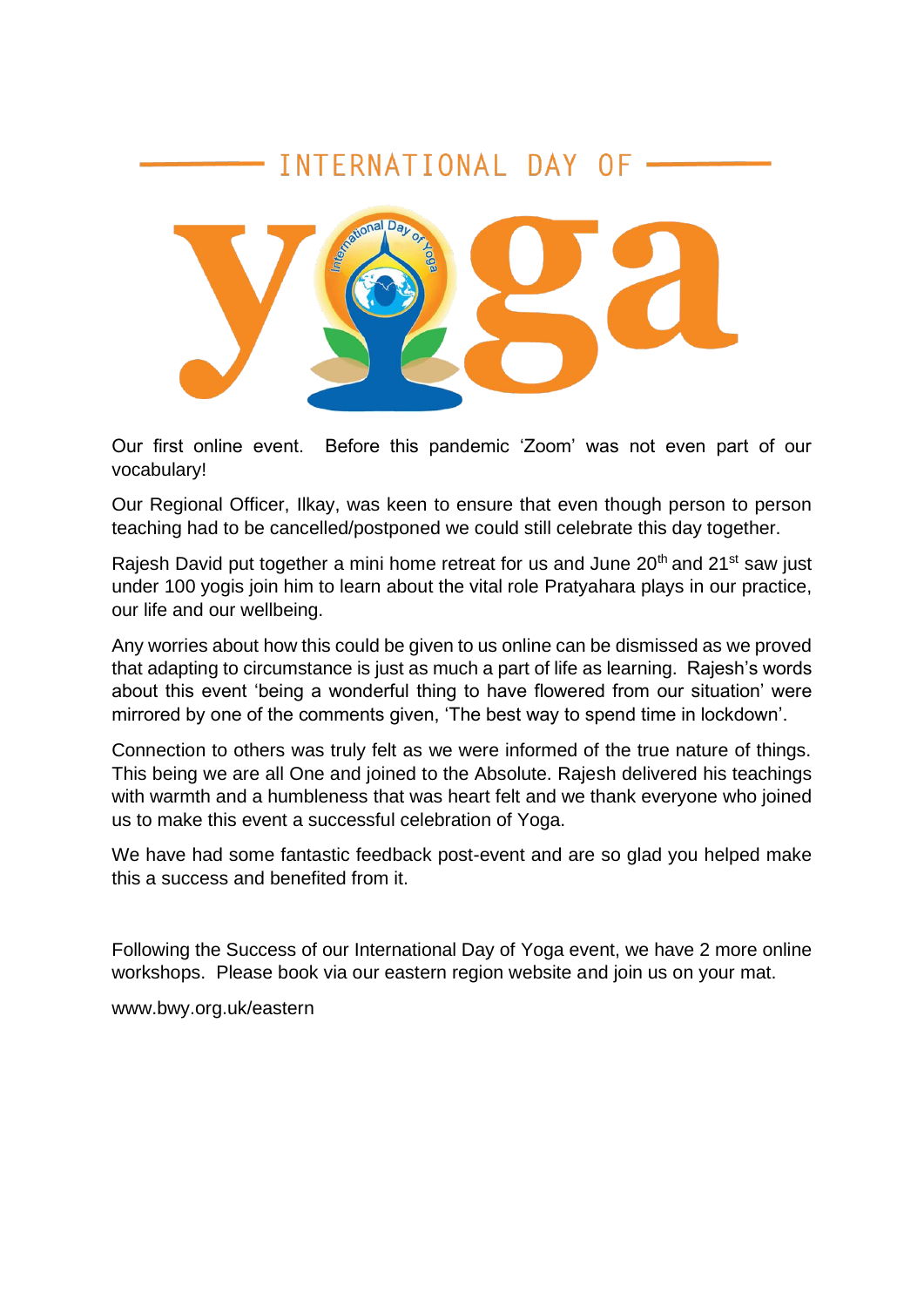# INTERNATIONAL DAY OF



Our first online event. Before this pandemic 'Zoom' was not even part of our vocabulary!

Our Regional Officer, Ilkay, was keen to ensure that even though person to person teaching had to be cancelled/postponed we could still celebrate this day together.

Rajesh David put together a mini home retreat for us and June 20<sup>th</sup> and 21<sup>st</sup> saw just under 100 yogis join him to learn about the vital role Pratyahara plays in our practice, our life and our wellbeing.

Any worries about how this could be given to us online can be dismissed as we proved that adapting to circumstance is just as much a part of life as learning. Rajesh's words about this event 'being a wonderful thing to have flowered from our situation' were mirrored by one of the comments given, 'The best way to spend time in lockdown'.

Connection to others was truly felt as we were informed of the true nature of things. This being we are all One and joined to the Absolute. Rajesh delivered his teachings with warmth and a humbleness that was heart felt and we thank everyone who joined us to make this event a successful celebration of Yoga.

We have had some fantastic feedback post-event and are so glad you helped make this a success and benefited from it.

Following the Success of our International Day of Yoga event, we have 2 more online workshops. Please book via our eastern region website and join us on your mat.

www.bwy.org.uk/eastern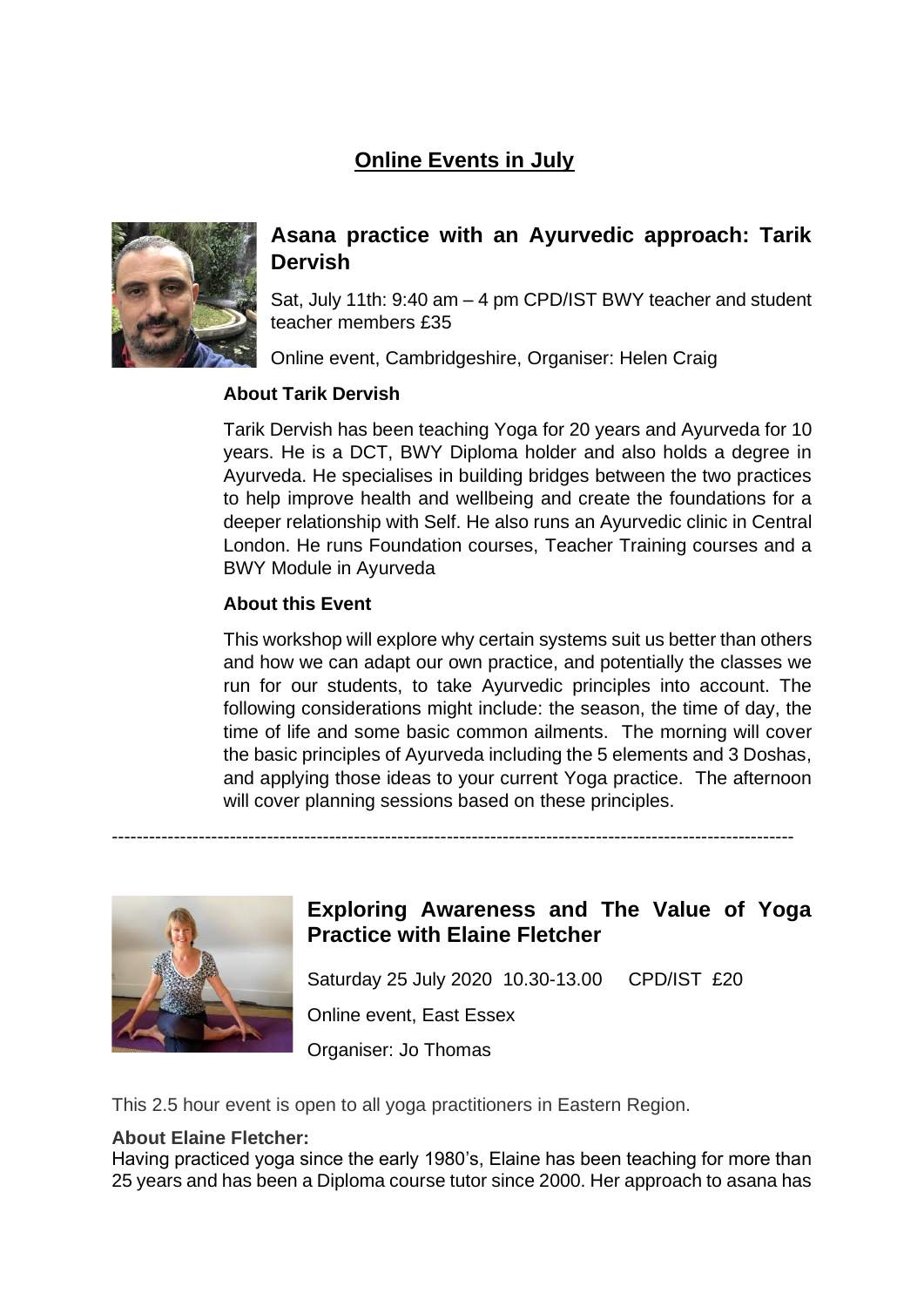# **Online Events in July**



# **Asana practice with an Ayurvedic approach: Tarik Dervish**

Sat, July 11th: 9:40 am – 4 pm CPD/IST BWY teacher and student teacher members £35

Online event, Cambridgeshire, Organiser: Helen Craig

## **About Tarik Dervish**

Tarik Dervish has been teaching Yoga for 20 years and Ayurveda for 10 years. He is a DCT, BWY Diploma holder and also holds a degree in Ayurveda. He specialises in building bridges between the two practices to help improve health and wellbeing and create the foundations for a deeper relationship with Self. He also runs an Ayurvedic clinic in Central London. He runs Foundation courses, Teacher Training courses and a BWY Module in Ayurveda

# **About this Event**

This workshop will explore why certain systems suit us better than others and how we can adapt our own practice, and potentially the classes we run for our students, to take Ayurvedic principles into account. The following considerations might include: the season, the time of day, the time of life and some basic common ailments. The morning will cover the basic principles of Ayurveda including the 5 elements and 3 Doshas, and applying those ideas to your current Yoga practice. The afternoon will cover planning sessions based on these principles.



# **Exploring Awareness and The Value of Yoga Practice with Elaine Fletcher**

Saturday 25 July 2020 10.30-13.00 CPD/IST £20 Online event, East Essex Organiser: Jo Thomas

This 2.5 hour event is open to all yoga practitioners in Eastern Region.

# **About Elaine Fletcher:**

Having practiced yoga since the early 1980's, Elaine has been teaching for more than 25 years and has been a Diploma course tutor since 2000. Her approach to asana has

--------------------------------------------------------------------------------------------------------------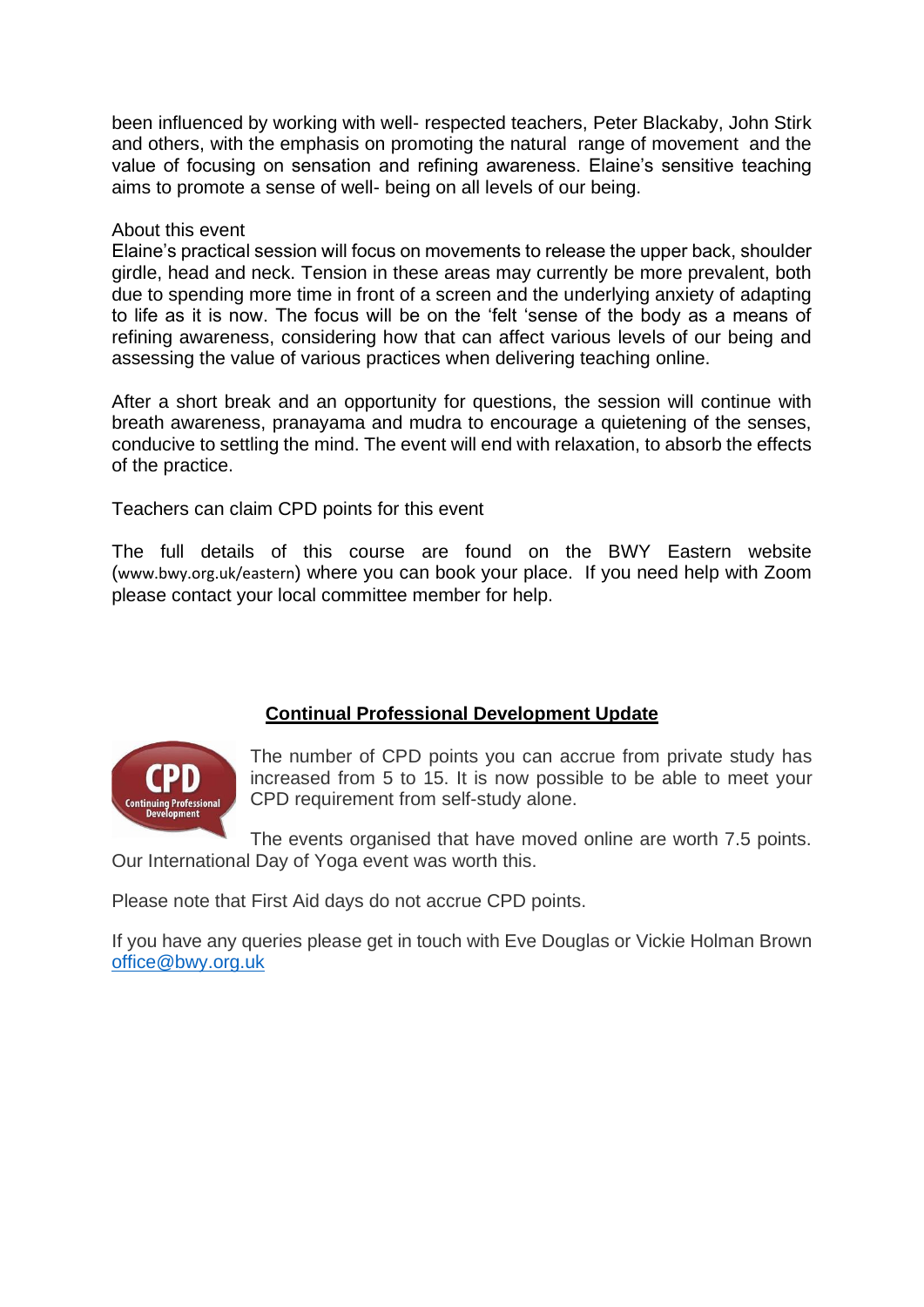been influenced by working with well- respected teachers, Peter Blackaby, John Stirk and others, with the emphasis on promoting the natural range of movement and the value of focusing on sensation and refining awareness. Elaine's sensitive teaching aims to promote a sense of well- being on all levels of our being.

### About this event

Elaine's practical session will focus on movements to release the upper back, shoulder girdle, head and neck. Tension in these areas may currently be more prevalent, both due to spending more time in front of a screen and the underlying anxiety of adapting to life as it is now. The focus will be on the 'felt 'sense of the body as a means of refining awareness, considering how that can affect various levels of our being and assessing the value of various practices when delivering teaching online.

After a short break and an opportunity for questions, the session will continue with breath awareness, pranayama and mudra to encourage a quietening of the senses, conducive to settling the mind. The event will end with relaxation, to absorb the effects of the practice.

Teachers can claim CPD points for this event

The full details of this course are found on the BWY Eastern website ([www.bwy.org.uk/eastern](http://www.bwy.org.uk/eastern)) where you can book your place. If you need help with Zoom please contact your local committee member for help.

# uing Professional

**Continual Professional Development Update**

The number of CPD points you can accrue from private study has increased from 5 to 15. It is now possible to be able to meet your CPD requirement from self-study alone.

The events organised that have moved online are worth 7.5 points. Our International Day of Yoga event was worth this.

Please note that First Aid days do not accrue CPD points.

If you have any queries please get in touch with Eve Douglas or Vickie Holman Brown [office@bwy.org.uk](mailto:office@bwy.org.uk)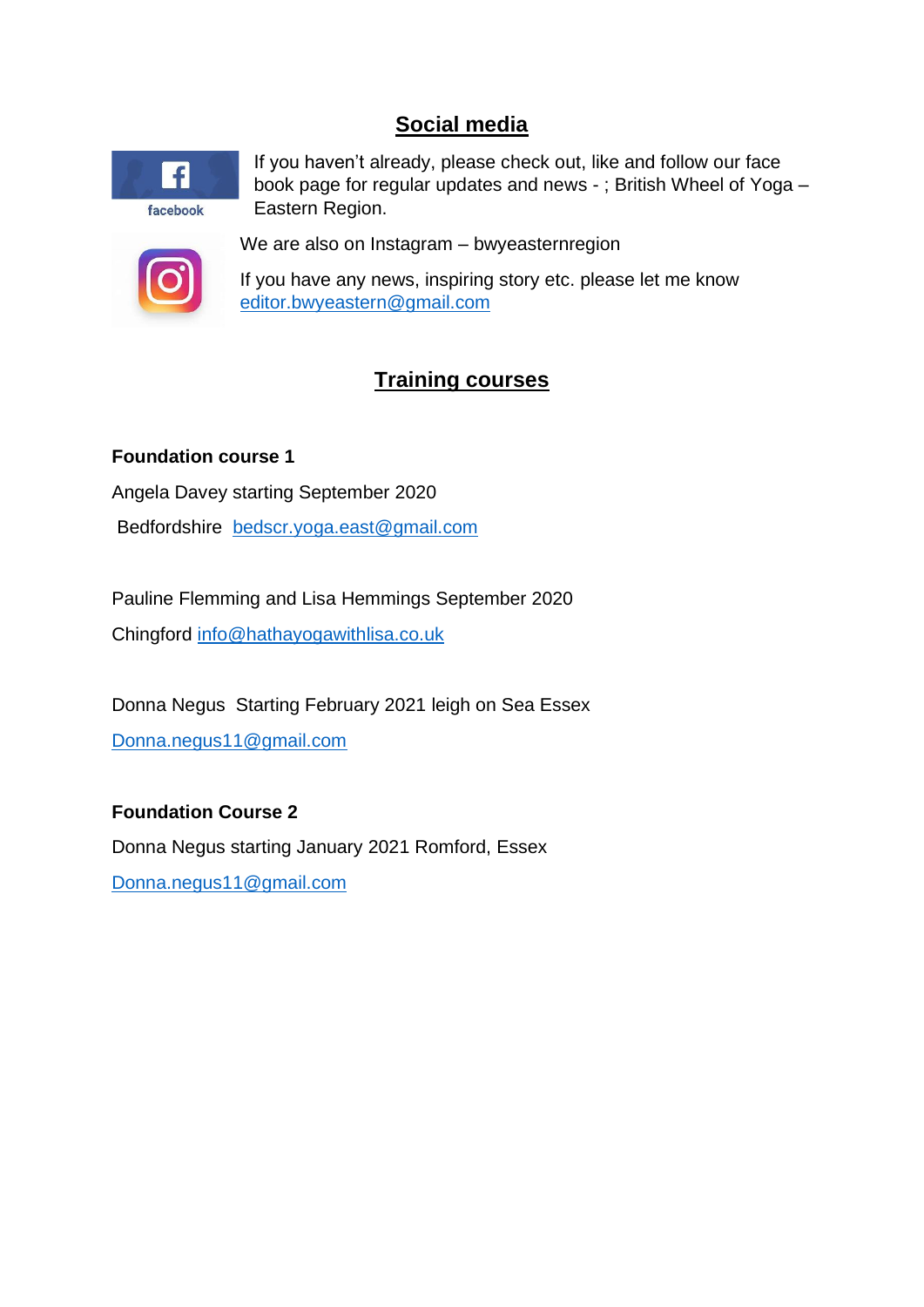# **Social media**



If you haven't already, please check out, like and follow our face book page for regular updates and news - ; British Wheel of Yoga – Eastern Region.



We are also on Instagram – bwyeasternregion

If you have any news, inspiring story etc. please let me know [editor.bwyeastern@gmail.com](mailto:editor.bwyeastern@gmail.com)

# **Training courses**

# **Foundation course 1**

Angela Davey starting September 2020

Bedfordshire [bedscr.yoga.east@gmail.com](mailto:bedscr.yoga.east@gmail.com)

Pauline Flemming and Lisa Hemmings September 2020 Chingford [info@hathayogawithlisa.co.uk](mailto:info@hathayogawithlisa.co.uk)

Donna Negus Starting February 2021 leigh on Sea Essex [Donna.negus11@gmail.com](mailto:Donna.negus11@gmail.com)

# **Foundation Course 2**

Donna Negus starting January 2021 Romford, Essex [Donna.negus11@gmail.com](mailto:Donna.negus11@gmail.com)